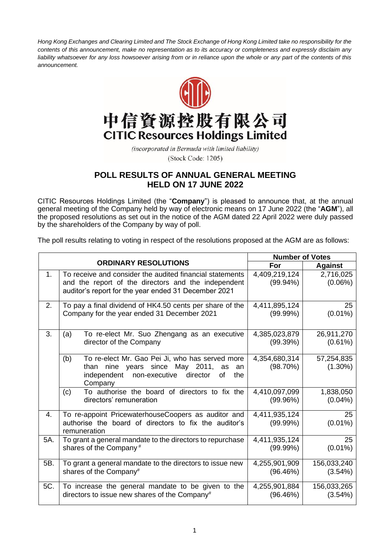*Hong Kong Exchanges and Clearing Limited and The Stock Exchange of Hong Kong Limited take no responsibility for the contents of this announcement, make no representation as to its accuracy or completeness and expressly disclaim any*  liability whatsoever for any loss howsoever arising from or in reliance upon the whole or any part of the contents of this *announcement.*



## 中信資源控股有限公司 **CITIC Resources Holdings Limited**

(incorporated in Bermuda with limited liability) (Stock Code: 1205)

## **POLL RESULTS OF ANNUAL GENERAL MEETING HELD ON 17 JUNE 2022**

CITIC Resources Holdings Limited (the "**Company**") is pleased to announce that, at the annual general meeting of the Company held by way of electronic means on 17 June 2022 (the "**AGM**"), all the proposed resolutions as set out in the notice of the AGM dated 22 April 2022 were duly passed by the shareholders of the Company by way of poll.

The poll results relating to voting in respect of the resolutions proposed at the AGM are as follows:

|                |                                                                                                                                                                         | <b>Number of Votes</b>       |                          |
|----------------|-------------------------------------------------------------------------------------------------------------------------------------------------------------------------|------------------------------|--------------------------|
|                | <b>ORDINARY RESOLUTIONS</b>                                                                                                                                             | For                          | <b>Against</b>           |
| 1 <sub>1</sub> | To receive and consider the audited financial statements<br>and the report of the directors and the independent<br>auditor's report for the year ended 31 December 2021 | 4,409,219,124<br>$(99.94\%)$ | 2,716,025<br>$(0.06\%)$  |
| 2.             | To pay a final dividend of HK4.50 cents per share of the<br>Company for the year ended 31 December 2021                                                                 | 4,411,895,124<br>(99.99%)    | 25<br>$(0.01\%)$         |
| 3.             | To re-elect Mr. Suo Zhengang as an executive<br>(a)<br>director of the Company                                                                                          | 4,385,023,879<br>(99.39%)    | 26,911,270<br>(0.61%)    |
|                | To re-elect Mr. Gao Pei Ji, who has served more<br>(b)<br>than nine years since May 2011, as<br>an<br>independent<br>non-executive<br>director<br>of<br>the<br>Company  | 4,354,680,314<br>(98.70%)    | 57,254,835<br>$(1.30\%)$ |
|                | (c)<br>To authorise the board of directors to fix the<br>directors' remuneration                                                                                        | 4,410,097,099<br>(99.96%)    | 1,838,050<br>$(0.04\%)$  |
| 4.             | To re-appoint PricewaterhouseCoopers as auditor and<br>authorise the board of directors to fix the auditor's<br>remuneration                                            | 4,411,935,124<br>(99.99%)    | 25<br>$(0.01\%)$         |
| 5A.            | To grant a general mandate to the directors to repurchase<br>shares of the Company <sup>#</sup>                                                                         | 4,411,935,124<br>$(99.99\%)$ | 25<br>$(0.01\%)$         |
| 5B.            | To grant a general mandate to the directors to issue new<br>shares of the Company#                                                                                      | 4,255,901,909<br>(96.46%)    | 156,033,240<br>(3.54%)   |
| 5C.            | To increase the general mandate to be given to the<br>directors to issue new shares of the Company#                                                                     | 4,255,901,884<br>(96.46%)    | 156,033,265<br>(3.54%)   |